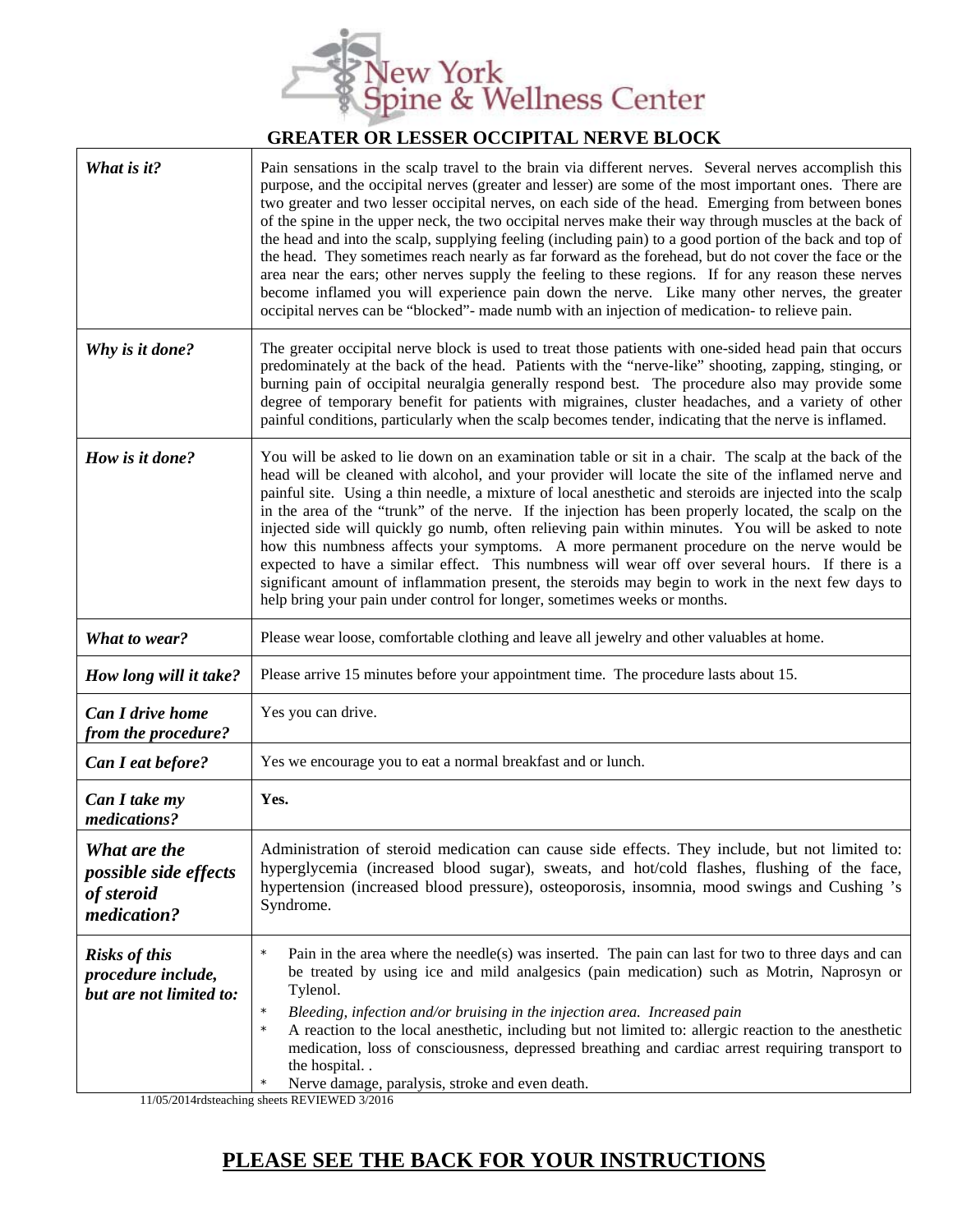

## **GREATER OR LESSER OCCIPITAL NERVE BLOCK**

| What is it?                                                                                              | Pain sensations in the scalp travel to the brain via different nerves. Several nerves accomplish this<br>purpose, and the occipital nerves (greater and lesser) are some of the most important ones. There are<br>two greater and two lesser occipital nerves, on each side of the head. Emerging from between bones<br>of the spine in the upper neck, the two occipital nerves make their way through muscles at the back of<br>the head and into the scalp, supplying feeling (including pain) to a good portion of the back and top of<br>the head. They sometimes reach nearly as far forward as the forehead, but do not cover the face or the<br>area near the ears; other nerves supply the feeling to these regions. If for any reason these nerves<br>become inflamed you will experience pain down the nerve. Like many other nerves, the greater<br>occipital nerves can be "blocked"- made numb with an injection of medication- to relieve pain. |
|----------------------------------------------------------------------------------------------------------|----------------------------------------------------------------------------------------------------------------------------------------------------------------------------------------------------------------------------------------------------------------------------------------------------------------------------------------------------------------------------------------------------------------------------------------------------------------------------------------------------------------------------------------------------------------------------------------------------------------------------------------------------------------------------------------------------------------------------------------------------------------------------------------------------------------------------------------------------------------------------------------------------------------------------------------------------------------|
| Why is it done?                                                                                          | The greater occipital nerve block is used to treat those patients with one-sided head pain that occurs<br>predominately at the back of the head. Patients with the "nerve-like" shooting, zapping, stinging, or<br>burning pain of occipital neuralgia generally respond best. The procedure also may provide some<br>degree of temporary benefit for patients with migraines, cluster headaches, and a variety of other<br>painful conditions, particularly when the scalp becomes tender, indicating that the nerve is inflamed.                                                                                                                                                                                                                                                                                                                                                                                                                             |
| How is it done?                                                                                          | You will be asked to lie down on an examination table or sit in a chair. The scalp at the back of the<br>head will be cleaned with alcohol, and your provider will locate the site of the inflamed nerve and<br>painful site. Using a thin needle, a mixture of local anesthetic and steroids are injected into the scalp<br>in the area of the "trunk" of the nerve. If the injection has been properly located, the scalp on the<br>injected side will quickly go numb, often relieving pain within minutes. You will be asked to note<br>how this numbness affects your symptoms. A more permanent procedure on the nerve would be<br>expected to have a similar effect. This numbness will wear off over several hours. If there is a<br>significant amount of inflammation present, the steroids may begin to work in the next few days to<br>help bring your pain under control for longer, sometimes weeks or months.                                   |
| What to wear?                                                                                            | Please wear loose, comfortable clothing and leave all jewelry and other valuables at home.                                                                                                                                                                                                                                                                                                                                                                                                                                                                                                                                                                                                                                                                                                                                                                                                                                                                     |
| How long will it take?                                                                                   | Please arrive 15 minutes before your appointment time. The procedure lasts about 15.                                                                                                                                                                                                                                                                                                                                                                                                                                                                                                                                                                                                                                                                                                                                                                                                                                                                           |
| Can I drive home<br>from the procedure?                                                                  | Yes you can drive.                                                                                                                                                                                                                                                                                                                                                                                                                                                                                                                                                                                                                                                                                                                                                                                                                                                                                                                                             |
| Can I eat before?                                                                                        | Yes we encourage you to eat a normal breakfast and or lunch.                                                                                                                                                                                                                                                                                                                                                                                                                                                                                                                                                                                                                                                                                                                                                                                                                                                                                                   |
| Can I take my<br>medications?                                                                            | Yes.                                                                                                                                                                                                                                                                                                                                                                                                                                                                                                                                                                                                                                                                                                                                                                                                                                                                                                                                                           |
| What are the<br><i>possible side effects</i><br>of steroid<br>medication?                                | Administration of steroid medication can cause side effects. They include, but not limited to:<br>hyperglycemia (increased blood sugar), sweats, and hot/cold flashes, flushing of the face,<br>hypertension (increased blood pressure), osteoporosis, insomnia, mood swings and Cushing 's<br>Syndrome.                                                                                                                                                                                                                                                                                                                                                                                                                                                                                                                                                                                                                                                       |
| <b>Risks of this</b><br>procedure include,<br>but are not limited to:<br>$11/05/2014$ dedetoeching sheet | Pain in the area where the needle(s) was inserted. The pain can last for two to three days and can<br>$\star$<br>be treated by using ice and mild analgesics (pain medication) such as Motrin, Naprosyn or<br>Tylenol.<br>Bleeding, infection and/or bruising in the injection area. Increased pain<br>A reaction to the local anesthetic, including but not limited to: allergic reaction to the anesthetic<br>medication, loss of consciousness, depressed breathing and cardiac arrest requiring transport to<br>the hospital<br>Nerve damage, paralysis, stroke and even death.<br><b>DEVIEWED 2/201</b>                                                                                                                                                                                                                                                                                                                                                   |

11/05/2014rdsteaching sheets REVIEWED 3/2016

## **PLEASE SEE THE BACK FOR YOUR INSTRUCTIONS**